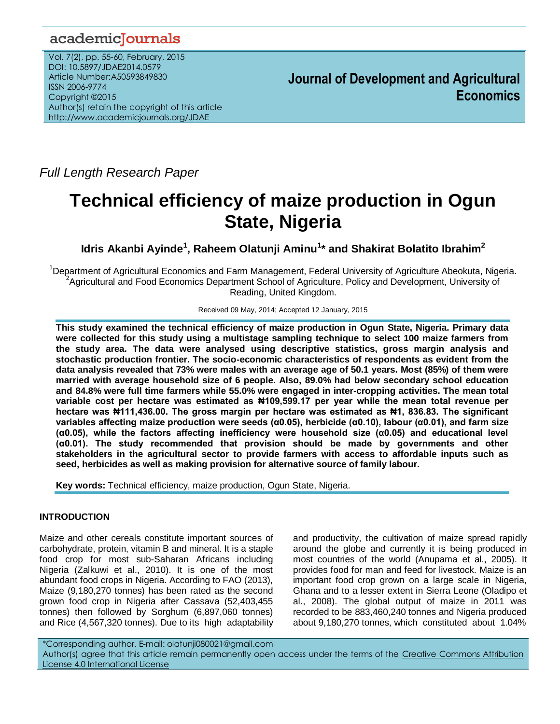## academicJournals

Vol. 7(2), pp. 55-60, February, 2015 DOI: 10.5897/JDAE2014.0579 Article Number:A50593849830 ISSN 2006-9774 Copyright ©2015 Author(s) retain the copyright of this article http://www.academicjournals.org/JDAE

**Journal of Development and Agricultural Economics**

*Full Length Research Paper*

# **Technical efficiency of maize production in Ogun State, Nigeria**

**Idris Akanbi Ayinde<sup>1</sup> , Raheem Olatunji Aminu<sup>1</sup> \* and Shakirat Bolatito Ibrahim<sup>2</sup>**

<sup>1</sup>Department of Agricultural Economics and Farm Management, Federal University of Agriculture Abeokuta, Nigeria. <sup>2</sup>Agricultural and Food Economics Department School of Agriculture, Policy and Development, University of Reading, United Kingdom.

Received 09 May, 2014; Accepted 12 January, 2015

**This study examined the technical efficiency of maize production in Ogun State, Nigeria. Primary data were collected for this study using a multistage sampling technique to select 100 maize farmers from the study area. The data were analysed using descriptive statistics, gross margin analysis and stochastic production frontier. The socio-economic characteristics of respondents as evident from the data analysis revealed that 73% were males with an average age of 50.1 years. Most (85%) of them were married with average household size of 6 people. Also, 89.0% had below secondary school education and 84.8% were full time farmers while 55.0% were engaged in inter-cropping activities. The mean total variable cost per hectare was estimated as ₦109,599.17 per year while the mean total revenue per hectare was ₦111,436.00. The gross margin per hectare was estimated as ₦1, 836.83. The significant variables affecting maize production were seeds (α0.05), herbicide (α0.10), labour (α0.01), and farm size (α0.05), while the factors affecting inefficiency were household size (α0.05) and educational level (α0.01). The study recommended that provision should be made by governments and other stakeholders in the agricultural sector to provide farmers with access to affordable inputs such as seed, herbicides as well as making provision for alternative source of family labour.** 

**Key words:** Technical efficiency, maize production, Ogun State, Nigeria.

## **INTRODUCTION**

Maize and other cereals constitute important sources of carbohydrate, protein, vitamin B and mineral. It is a staple food crop for most sub-Saharan Africans including Nigeria (Zalkuwi et al., 2010). It is one of the most abundant food crops in Nigeria. According to FAO (2013), Maize (9,180,270 tonnes) has been rated as the second grown food crop in Nigeria after Cassava (52,403,455 tonnes) then followed by Sorghum (6,897,060 tonnes) and Rice (4,567,320 tonnes). Due to its high adaptability and productivity, the cultivation of maize spread rapidly around the globe and currently it is being produced in most countries of the world (Anupama et al., 2005). It provides food for man and feed for livestock. Maize is an important food crop grown on a large scale in Nigeria, Ghana and to a lesser extent in Sierra Leone (Oladipo et al., 2008). The global output of maize in 2011 was recorded to be 883,460,240 tonnes and Nigeria produced about 9,180,270 tonnes, which constituted about 1.04%

\*Corresponding author. E-mail: olatunji080021@gmail.com Author(s) agree that this article remain permanently open access under the terms of the Creative Commons Attribution [License 4.0 International License](http://creativecommons.org/licenses/by/4.0/deed.en_US)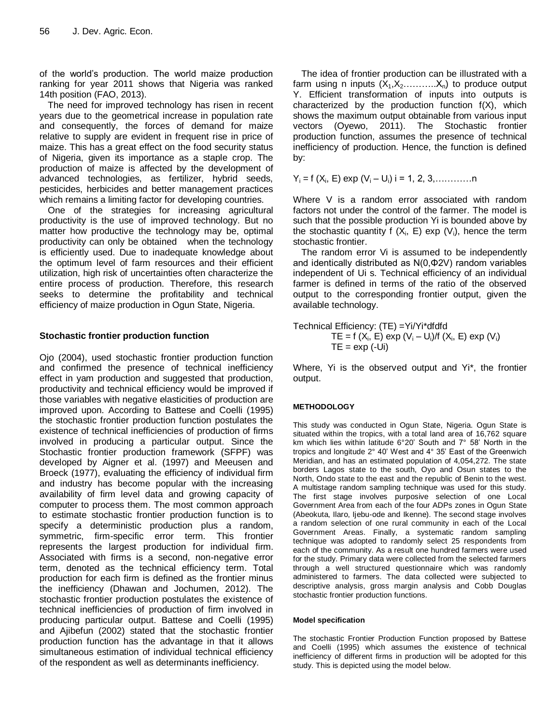of the world's production. The world maize production ranking for year 2011 shows that Nigeria was ranked 14th position (FAO, 2013).

The need for improved technology has risen in recent years due to the geometrical increase in population rate and consequently, the forces of demand for maize relative to supply are evident in frequent rise in price of maize. This has a great effect on the food security status of Nigeria, given its importance as a staple crop. The production of maize is affected by the development of advanced technologies, as fertilizer, hybrid seeds, pesticides, herbicides and better management practices which remains a limiting factor for developing countries.

One of the strategies for increasing agricultural productivity is the use of improved technology. But no matter how productive the technology may be, optimal productivity can only be obtained when the technology is efficiently used. Due to inadequate knowledge about the optimum level of farm resources and their efficient utilization, high risk of uncertainties often characterize the entire process of production. Therefore, this research seeks to determine the profitability and technical efficiency of maize production in Ogun State, Nigeria.

## **Stochastic frontier production function**

Ojo (2004), used stochastic frontier production function and confirmed the presence of technical inefficiency effect in yam production and suggested that production, productivity and technical efficiency would be improved if those variables with negative elasticities of production are improved upon. According to Battese and Coelli (1995) the stochastic frontier production function postulates the existence of technical inefficiencies of production of firms involved in producing a particular output. Since the Stochastic frontier production framework (SFPF) was developed by Aigner et al. (1997) and Meeusen and Broeck (1977), evaluating the efficiency of individual firm and industry has become popular with the increasing availability of firm level data and growing capacity of computer to process them. The most common approach to estimate stochastic frontier production function is to specify a deterministic production plus a random, symmetric, firm-specific error term. This frontier represents the largest production for individual firm. Associated with firms is a second, non-negative error term, denoted as the technical efficiency term. Total production for each firm is defined as the frontier minus the inefficiency (Dhawan and Jochumen, 2012). The stochastic frontier production postulates the existence of technical inefficiencies of production of firm involved in producing particular output. Battese and Coelli (1995) and Ajibefun (2002) stated that the stochastic frontier production function has the advantage in that it allows simultaneous estimation of individual technical efficiency of the respondent as well as determinants inefficiency.

The idea of frontier production can be illustrated with a farm using n inputs  $(X_1, X_2, \ldots, X_n)$  to produce output Y. Efficient transformation of inputs into outputs is characterized by the production function f(X), which shows the maximum output obtainable from various input vectors (Oyewo, 2011). The Stochastic frontier production function, assumes the presence of technical inefficiency of production. Hence, the function is defined by:

 $Y_i = f(X_i, E)$  exp  $(V_i - U_i)$  i = 1, 2, 3,..............

Where V is a random error associated with random factors not under the control of the farmer. The model is such that the possible production Yi is bounded above by the stochastic quantity f  $(X_i, E)$  exp  $(V_i)$ , hence the term stochastic frontier.

The random error Vi is assumed to be independently and identically distributed as N(0,Φ2V) random variables independent of Ui s. Technical efficiency of an individual farmer is defined in terms of the ratio of the observed output to the corresponding frontier output, given the available technology.

Technical Efficiency: (TE) =Yi/Yi\*dfdfd

\n
$$
TE = f(X_i, E) \exp (V_i - U_i)/f(X_i, E) \exp (V_i)
$$
\n
$$
TE = \exp (-Ui)
$$

Where, Yi is the observed output and Yi\*, the frontier output.

## **METHODOLOGY**

This study was conducted in Ogun State, Nigeria. Ogun State is situated within the tropics, with a total land area of 16,762 square km which lies within latitude 6°20' South and 7° 58' North in the tropics and longitude 2° 40' West and 4° 35' East of the Greenwich Meridian, and has an estimated population of 4,054,272. The state borders Lagos state to the south, Oyo and Osun states to the North, Ondo state to the east and the republic of Benin to the west. A multistage random sampling technique was used for this study. The first stage involves purposive selection of one Local Government Area from each of the four ADPs zones in Ogun State (Abeokuta, Ilaro, Ijebu-ode and Ikenne). The second stage involves a random selection of one rural community in each of the Local Government Areas. Finally, a systematic random sampling technique was adopted to randomly select 25 respondents from each of the community. As a result one hundred farmers were used for the study. Primary data were collected from the selected farmers through a well structured questionnaire which was randomly administered to farmers. The data collected were subjected to descriptive analysis, gross margin analysis and Cobb Douglas stochastic frontier production functions.

#### **Model specification**

The stochastic Frontier Production Function proposed by Battese and Coelli (1995) which assumes the existence of technical inefficiency of different firms in production will be adopted for this study. This is depicted using the model below.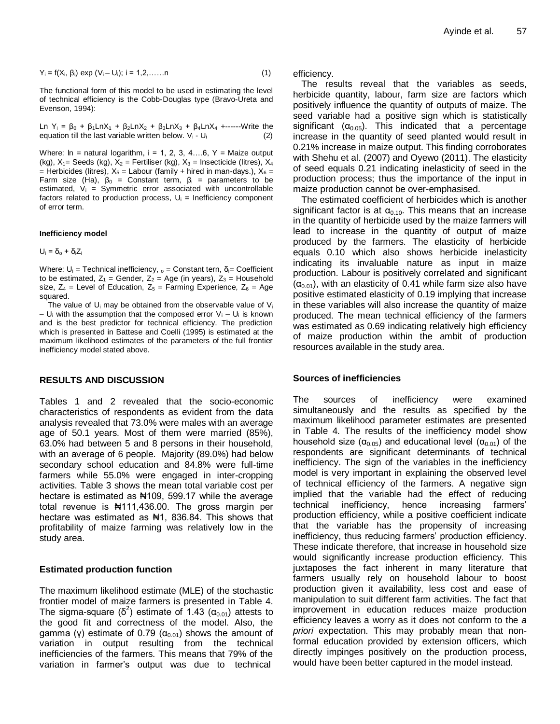$$
Y_i = f(X_i, \beta_i) \exp (V_i - U_i); i = 1, 2, \dots, n
$$
 (1)

The functional form of this model to be used in estimating the level of technical efficiency is the Cobb-Douglas type (Bravo-Ureta and Evenson, 1994):

Ln Y<sub>i</sub> =  $\beta_0$  +  $\beta_1$ LnX<sub>1</sub> +  $\beta_2$ LnX<sub>2</sub> +  $\beta_3$ LnX<sub>3</sub> +  $\beta_4$ LnX<sub>4</sub> +------Write the equation till the last variable written below.  $V_i$  -  $U_i$  (2)

Where:  $\ln$  = natural logarithm,  $i = 1, 2, 3, 4....6$ ,  $Y =$  Maize output (kg),  $X_1$ = Seeds (kg),  $X_2$  = Fertiliser (kg),  $X_3$  = Insecticide (litres),  $X_4$ = Herbicides (litres),  $X_5$  = Labour (family + hired in man-days.),  $X_6$  = Farm size (Ha),  $β_0 =$  Constant term,  $β_i =$  parameters to be estimated,  $V_i$  = Symmetric error associated with uncontrollable factors related to production process,  $U_i$  = Inefficiency component of error term.

#### **Inefficiency model**

 $U_i = \delta_o + \delta_i Z_i$ 

Where:  $U_i$  = Technical inefficiency,  $\delta$  = Constant tern,  $\delta$  = Coefficient to be estimated,  $Z_1$  = Gender,  $Z_2$  = Age (in years),  $Z_3$  = Household size,  $Z_4$  = Level of Education,  $Z_5$  = Farming Experience,  $Z_6$  = Age squared.

The value of  $U_i$  may be obtained from the observable value of  $V_i$ –  $U_i$  with the assumption that the composed error  $V_i - U_i$  is known and is the best predictor for technical efficiency. The prediction which is presented in Battese and Coelli (1995) is estimated at the maximum likelihood estimates of the parameters of the full frontier inefficiency model stated above.

#### **RESULTS AND DISCUSSION**

Tables 1 and 2 revealed that the socio-economic characteristics of respondents as evident from the data analysis revealed that 73.0% were males with an average age of 50.1 years. Most of them were married (85%), 63.0% had between 5 and 8 persons in their household, with an average of 6 people. Majority (89.0%) had below secondary school education and 84.8% were full-time farmers while 55.0% were engaged in inter-cropping activities. Table 3 shows the mean total variable cost per hectare is estimated as  $\frac{1}{2}$  109, 599.17 while the average total revenue is #111,436.00. The gross margin per hectare was estimated as  $\frac{1}{2}$ , 836.84. This shows that profitability of maize farming was relatively low in the study area.

#### **Estimated production function**

The maximum likelihood estimate (MLE) of the stochastic frontier model of maize farmers is presented in Table 4. The sigma-square ( $\delta^2$ ) estimate of 1.43 (α<sub>0.01</sub>) attests to the good fit and correctness of the model. Also, the gamma (γ) estimate of 0.79 ( $\alpha_{0.01}$ ) shows the amount of variation in output resulting from the technical inefficiencies of the farmers. This means that 79% of the variation in farmer's output was due to technical

efficiency.

The results reveal that the variables as seeds, herbicide quantity, labour, farm size are factors which positively influence the quantity of outputs of maize. The seed variable had a positive sign which is statistically significant  $(\alpha_{0.05})$ . This indicated that a percentage increase in the quantity of seed planted would result in 0.21% increase in maize output. This finding corroborates with Shehu et al. (2007) and Oyewo (2011). The elasticity of seed equals 0.21 indicating inelasticity of seed in the production process; thus the importance of the input in maize production cannot be over-emphasised.

The estimated coefficient of herbicides which is another significant factor is at  $\alpha_{0.10}$ . This means that an increase in the quantity of herbicide used by the maize farmers will lead to increase in the quantity of output of maize produced by the farmers. The elasticity of herbicide equals 0.10 which also shows herbicide inelasticity indicating its invaluable nature as input in maize production. Labour is positively correlated and significant  $(\alpha_{0.01})$ , with an elasticity of 0.41 while farm size also have positive estimated elasticity of 0.19 implying that increase in these variables will also increase the quantity of maize produced. The mean technical efficiency of the farmers was estimated as 0.69 indicating relatively high efficiency of maize production within the ambit of production resources available in the study area.

#### **Sources of inefficiencies**

The sources of inefficiency were examined simultaneously and the results as specified by the maximum likelihood parameter estimates are presented in Table 4. The results of the inefficiency model show household size ( $\alpha_{0.05}$ ) and educational level ( $\alpha_{0.01}$ ) of the respondents are significant determinants of technical inefficiency. The sign of the variables in the inefficiency model is very important in explaining the observed level of technical efficiency of the farmers. A negative sign implied that the variable had the effect of reducing technical inefficiency, hence increasing farmers' production efficiency, while a positive coefficient indicate that the variable has the propensity of increasing inefficiency, thus reducing farmers' production efficiency. These indicate therefore, that increase in household size would significantly increase production efficiency. This juxtaposes the fact inherent in many literature that farmers usually rely on household labour to boost production given it availability, less cost and ease of manipulation to suit different farm activities. The fact that improvement in education reduces maize production efficiency leaves a worry as it does not conform to the *a priori* expectation. This may probably mean that nonformal education provided by extension officers, which directly impinges positively on the production process, would have been better captured in the model instead.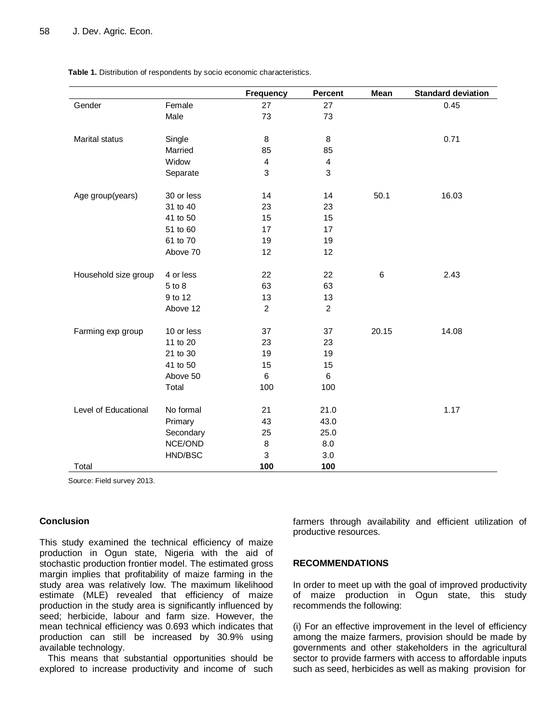|                                                                            |                                                                                                                                          | <b>Frequency</b>                                                                                 | <b>Percent</b>                                                                                             | Mean                     | <b>Standard deviation</b> |
|----------------------------------------------------------------------------|------------------------------------------------------------------------------------------------------------------------------------------|--------------------------------------------------------------------------------------------------|------------------------------------------------------------------------------------------------------------|--------------------------|---------------------------|
| Gender                                                                     | Female                                                                                                                                   | 27                                                                                               | 27                                                                                                         |                          | 0.45                      |
|                                                                            | Male                                                                                                                                     | 73                                                                                               | 73                                                                                                         |                          |                           |
|                                                                            |                                                                                                                                          |                                                                                                  |                                                                                                            |                          |                           |
| Marital status                                                             | Single                                                                                                                                   | 8                                                                                                | 8                                                                                                          |                          | 0.71                      |
|                                                                            | Married                                                                                                                                  | 85                                                                                               | 85                                                                                                         |                          |                           |
|                                                                            | Widow                                                                                                                                    | $\overline{\mathbf{4}}$                                                                          | $\overline{\mathbf{4}}$                                                                                    |                          |                           |
|                                                                            | Separate                                                                                                                                 | 3                                                                                                | 3                                                                                                          |                          |                           |
| Age group(years)                                                           | 30 or less                                                                                                                               | 14                                                                                               | 14                                                                                                         | 50.1                     | 16.03                     |
|                                                                            | 31 to 40                                                                                                                                 | 23                                                                                               | 23                                                                                                         |                          |                           |
|                                                                            | 41 to 50                                                                                                                                 | 15                                                                                               | 15                                                                                                         |                          |                           |
|                                                                            | 51 to 60                                                                                                                                 | 17                                                                                               | 17                                                                                                         |                          |                           |
|                                                                            | 61 to 70                                                                                                                                 | 19                                                                                               | 19                                                                                                         |                          |                           |
|                                                                            | Above 70                                                                                                                                 | 12                                                                                               | 12                                                                                                         |                          |                           |
|                                                                            |                                                                                                                                          |                                                                                                  |                                                                                                            |                          |                           |
|                                                                            | 4 or less                                                                                                                                |                                                                                                  |                                                                                                            |                          | 2.43                      |
|                                                                            |                                                                                                                                          |                                                                                                  |                                                                                                            |                          |                           |
|                                                                            |                                                                                                                                          |                                                                                                  |                                                                                                            |                          |                           |
|                                                                            |                                                                                                                                          |                                                                                                  |                                                                                                            |                          |                           |
|                                                                            | 10 or less                                                                                                                               |                                                                                                  |                                                                                                            |                          |                           |
|                                                                            |                                                                                                                                          |                                                                                                  |                                                                                                            |                          |                           |
|                                                                            |                                                                                                                                          |                                                                                                  |                                                                                                            |                          |                           |
|                                                                            |                                                                                                                                          |                                                                                                  |                                                                                                            |                          |                           |
|                                                                            |                                                                                                                                          |                                                                                                  |                                                                                                            |                          |                           |
|                                                                            | Total                                                                                                                                    | 100                                                                                              | 100                                                                                                        |                          |                           |
|                                                                            |                                                                                                                                          |                                                                                                  |                                                                                                            |                          |                           |
|                                                                            |                                                                                                                                          |                                                                                                  |                                                                                                            |                          |                           |
|                                                                            |                                                                                                                                          |                                                                                                  |                                                                                                            |                          |                           |
|                                                                            |                                                                                                                                          |                                                                                                  |                                                                                                            |                          |                           |
|                                                                            |                                                                                                                                          |                                                                                                  |                                                                                                            |                          |                           |
|                                                                            |                                                                                                                                          |                                                                                                  |                                                                                                            |                          |                           |
| Household size group<br>Farming exp group<br>Level of Educational<br>Total | 5 to 8<br>9 to 12<br>Above 12<br>11 to 20<br>21 to 30<br>41 to 50<br>Above 50<br>No formal<br>Primary<br>Secondary<br>NCE/OND<br>HND/BSC | 22<br>63<br>13<br>$\overline{c}$<br>37<br>23<br>19<br>15<br>6<br>21<br>43<br>25<br>8<br>3<br>100 | 22<br>63<br>13<br>$\overline{c}$<br>37<br>23<br>19<br>15<br>6<br>21.0<br>43.0<br>25.0<br>8.0<br>3.0<br>100 | $6\phantom{1}6$<br>20.15 | 14.08<br>1.17             |

**Table 1.** Distribution of respondents by socio economic characteristics.

Source: Field survey 2013.

#### **Conclusion**

This study examined the technical efficiency of maize production in Ogun state, Nigeria with the aid of stochastic production frontier model. The estimated gross margin implies that profitability of maize farming in the study area was relatively low. The maximum likelihood estimate (MLE) revealed that efficiency of maize production in the study area is significantly influenced by seed; herbicide, labour and farm size. However, the mean technical efficiency was 0.693 which indicates that production can still be increased by 30.9% using available technology.

This means that substantial opportunities should be explored to increase productivity and income of such farmers through availability and efficient utilization of productive resources.

#### **RECOMMENDATIONS**

In order to meet up with the goal of improved productivity of maize production in Ogun state, this study recommends the following:

(i) For an effective improvement in the level of efficiency among the maize farmers, provision should be made by governments and other stakeholders in the agricultural sector to provide farmers with access to affordable inputs such as seed, herbicides as well as making provision for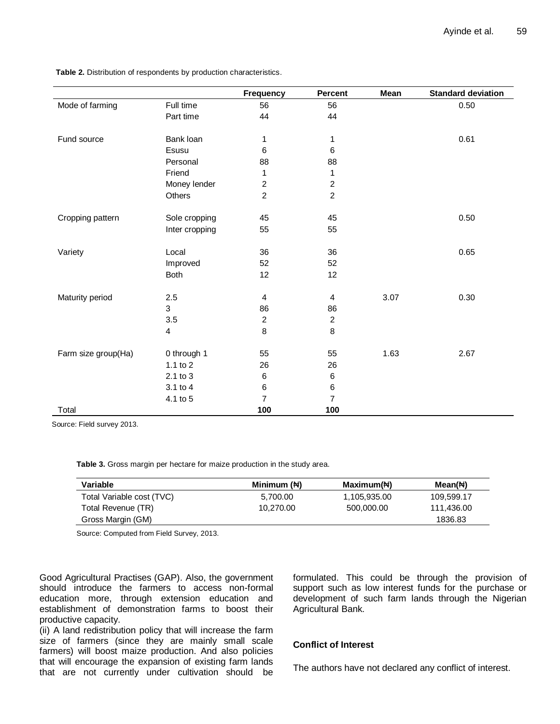**Table 2.** Distribution of respondents by production characteristics.

|                     |                | <b>Frequency</b>        | <b>Percent</b>          | Mean | <b>Standard deviation</b> |
|---------------------|----------------|-------------------------|-------------------------|------|---------------------------|
| Mode of farming     | Full time      | 56                      | 56                      |      | 0.50                      |
|                     | Part time      | 44                      | 44                      |      |                           |
|                     |                |                         |                         |      |                           |
| Fund source         | Bank loan      | 1                       | 1                       |      | 0.61                      |
|                     | Esusu          | 6                       | $\,6$                   |      |                           |
|                     | Personal       | 88                      | 88                      |      |                           |
|                     | Friend         | 1                       | 1                       |      |                           |
|                     | Money lender   | $\boldsymbol{2}$        | $\boldsymbol{2}$        |      |                           |
|                     | Others         | $\overline{c}$          | $\overline{c}$          |      |                           |
|                     |                |                         |                         |      |                           |
| Cropping pattern    | Sole cropping  | 45                      | 45                      |      | 0.50                      |
|                     | Inter cropping | 55                      | 55                      |      |                           |
|                     |                |                         |                         |      |                           |
| Variety             | Local          | 36                      | 36                      |      | 0.65                      |
|                     | Improved       | 52                      | 52                      |      |                           |
|                     | Both           | 12                      | 12                      |      |                           |
|                     |                |                         |                         |      |                           |
| Maturity period     | 2.5            | $\overline{\mathbf{4}}$ | $\overline{\mathbf{4}}$ | 3.07 | 0.30                      |
|                     | 3              | 86                      | 86                      |      |                           |
|                     | 3.5            | $\overline{c}$          | $\overline{c}$          |      |                           |
|                     | 4              | 8                       | $\bf 8$                 |      |                           |
| Farm size group(Ha) | 0 through 1    | 55                      | 55                      | 1.63 | 2.67                      |
|                     | 1.1 to 2       | 26                      | 26                      |      |                           |
|                     | 2.1 to 3       | $\,6$                   | $\,6\,$                 |      |                           |
|                     | 3.1 to 4       | $\,6$                   | $\,6\,$                 |      |                           |
|                     | 4.1 to 5       | $\overline{7}$          | $\overline{7}$          |      |                           |
| Total               |                | 100                     | 100                     |      |                           |
|                     |                |                         |                         |      |                           |

Source: Field survey 2013.

**Table 3.** Gross margin per hectare for maize production in the study area.

| Variable                  | Minimum $(\forall)$ | Maximum( $\forall$ ) | Mean( $\forall$ ) |
|---------------------------|---------------------|----------------------|-------------------|
| Total Variable cost (TVC) | 5,700.00            | 1,105,935.00         | 109.599.17        |
| Total Revenue (TR)        | 10.270.00           | 500,000,00           | 111.436.00        |
| Gross Margin (GM)         |                     |                      | 1836.83           |

Source: Computed from Field Survey, 2013.

Good Agricultural Practises (GAP). Also, the government should introduce the farmers to access non-formal education more, through extension education and establishment of demonstration farms to boost their productive capacity.

formulated. This could be through the provision of support such as low interest funds for the purchase or development of such farm lands through the Nigerian Agricultural Bank.

(ii) A land redistribution policy that will increase the farm size of farmers (since they are mainly small scale farmers) will boost maize production. And also policies that will encourage the expansion of existing farm lands that are not currently under cultivation should be

### **Conflict of Interest**

The authors have not declared any conflict of interest.